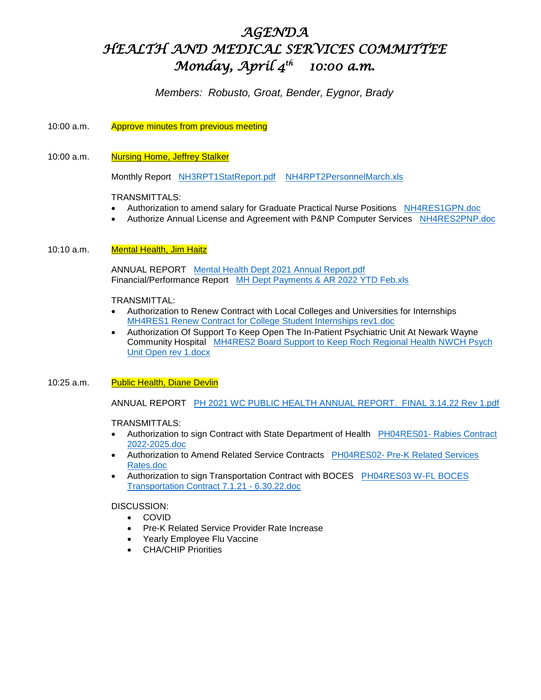# *AGENDA HEALTH AND MEDICAL SERVICES COMMITTEE Monday, April 4th 10:00 a.m.*

# *Members: Robusto, Groat, Bender, Eygnor, Brady*

# 10:00 a.m. Approve minutes from previous meeting

# 10:00 a.m. Nursing Home, Jeffrey Stalker

Monthly Report <NH3RPT1StatReport.pdf><NH4RPT2PersonnelMarch.xls>

#### TRANSMITTALS:

- Authorization to amend salary for Graduate Practical Nurse Positions **<NH4RES1GPN.doc>**
- Authorize Annual License and Agreement with P&NP Computer Services <NH4RES2PNP.doc>

#### 10:10 a.m. **Mental Health, Jim Haitz**

 ANNUAL REPORT [Mental Health Dept 2021 Annual Report.pdf](Mental%20Health%20Dept%202021%20Annual%20Report.pdf) Financial/Performance Report [MH Dept Payments & AR 2022 YTD Feb.xls](MH%20Dept%20Payments%20&%20AR%202022%20YTD%20Feb.xls)

TRANSMITTAL:

- Authorization to Renew Contract with Local Colleges and Universities for Internships [MH4RES1 Renew Contract for College Student Internships rev1.doc](MH4RES1%20Renew%20Contract%20for%20College%20Student%20Internships%20rev1.doc)
- Authorization Of Support To Keep Open The In-Patient Psychiatric Unit At Newark Wayne Community Hospital [MH4RES2 Board Support to Keep Roch Regional Health NWCH Psych](MH4RES2%20Board%20Support%20to%20Keep%20Roch%20Regional%20Health%20NWCH%20Psych%20Unit%20Open%20rev%201.docx)  [Unit Open rev 1.docx](MH4RES2%20Board%20Support%20to%20Keep%20Roch%20Regional%20Health%20NWCH%20Psych%20Unit%20Open%20rev%201.docx)

#### 10:25 a.m. Public Health, Diane Devlin

ANNUAL REPORT [PH 2021 WC PUBLIC HEALTH ANNUAL REPORT. FINAL 3.14.22 Rev 1.pdf](PH%202021%20WC%20PUBLIC%20HEALTH%20ANNUAL%20REPORT.%20%20FINAL%203.14.22%20Rev%201.pdf)

#### TRANSMITTALS:

- Authorization to sign Contract with State Department of Health PH04RES01- [Rabies Contract](PH04RES01-%20Rabies%20Contract%202022-2025.doc)  [2022-2025.doc](PH04RES01-%20Rabies%20Contract%202022-2025.doc)
- Authorization to Amend Related Service Contracts PH04RES02- [Pre-K Related Services](PH04RES02-%20Pre-K%20Related%20Services%20Rates.doc)  [Rates.doc](PH04RES02-%20Pre-K%20Related%20Services%20Rates.doc)
- Authorization to sign Transportation Contract with BOCES PH04RES03 W-FL BOCES [Transportation Contract 7.1.21 -](PH04RES03%20W-FL%20BOCES%20Transportation%20Contract%207.1.21%20-%206.30.22.doc) 6.30.22.doc

#### DISCUSSION:

- COVID
- Pre-K Related Service Provider Rate Increase
- Yearly Employee Flu Vaccine
- CHA/CHIP Priorities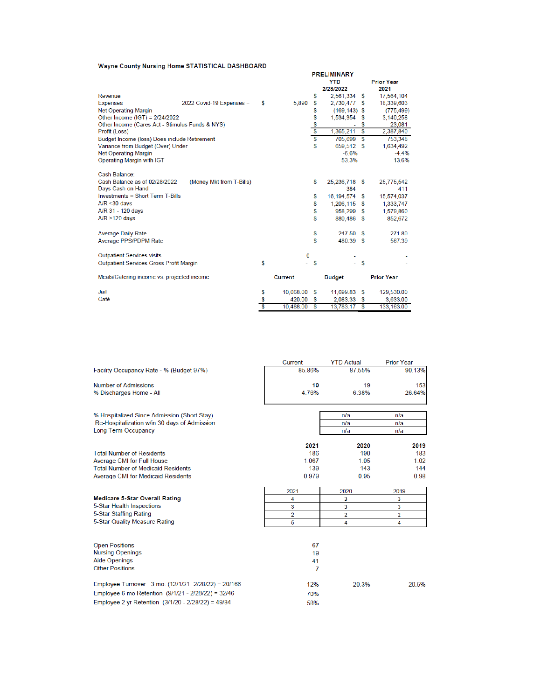#### Wayne County Nursing Home STATISTICAL DASHBOARD

|                                                                                                                                                                            |                          |    |                |                            | <b>PRELIMINARY</b><br><b>YTD</b><br>2/28/2022                            |                         | <b>Prior Year</b><br>2021                                            |
|----------------------------------------------------------------------------------------------------------------------------------------------------------------------------|--------------------------|----|----------------|----------------------------|--------------------------------------------------------------------------|-------------------------|----------------------------------------------------------------------|
| Revenue                                                                                                                                                                    |                          |    |                | \$                         | 2,561,334                                                                | \$                      | 17,564,104                                                           |
| <b>Expenses</b>                                                                                                                                                            | 2022 Covid-19 Expenses = | S  | 5,890          | \$                         | 2,730,477                                                                | <b>S</b>                | 18,339,603                                                           |
| <b>Net Operating Margin</b>                                                                                                                                                |                          |    |                | \$                         | $(169, 143)$ \$                                                          |                         | (775, 499)                                                           |
| Other Income (IGT) = 2/24/2022                                                                                                                                             |                          |    |                | \$                         | 1,534,354                                                                | S                       | 3,140,258                                                            |
| Other Income (Cares Act - Stimulus Funds & NYS)                                                                                                                            |                          |    |                | $\frac{6}{3}$              | ۰                                                                        | \$                      | 23,081                                                               |
| Profit (Loss)                                                                                                                                                              |                          |    |                |                            | 1,365,211                                                                | Ŝ                       | 2,387,840                                                            |
| Budget Income (loss) Does include Retirement                                                                                                                               |                          |    |                | \$                         | 705,699                                                                  | $\overline{\mathbf{s}}$ | 753,348                                                              |
| Variance from Budget (Over) Under                                                                                                                                          |                          |    |                | \$                         | 659,512                                                                  | -S                      | 1,634,492                                                            |
| <b>Net Operating Margin</b>                                                                                                                                                |                          |    |                |                            | $-6.6%$                                                                  |                         | $-4.4%$                                                              |
| Operating Margin with IGT                                                                                                                                                  |                          |    |                |                            | 53.3%                                                                    |                         | 13.6%                                                                |
| Cash Balance:<br>Cash Balance as of 02/28/2022<br>Days Cash on Hand<br><b>Investments = Short Term T-Bills</b><br>$A/R < 30$ days<br>A/R 31 - 120 days<br>$A/R > 120$ days | (Money Mkt from T-Bills) |    |                | \$<br>\$<br>\$<br>\$<br>\$ | 25,236,718 \$<br>384<br>16.194.574<br>1,206,115 \$<br>958,299<br>880,486 | \$<br>\$<br>- \$        | 25,775,542<br>411<br>15,574,037<br>1,333,747<br>1,579,860<br>852,672 |
| <b>Average Daily Rate</b><br>Average PPS/PDPM Rate                                                                                                                         |                          |    |                | \$<br>\$                   | 247.50<br>480.39 \$                                                      | - \$                    | 271.80<br>567.39                                                     |
| <b>Outpatient Services visits</b>                                                                                                                                          |                          |    | 0              |                            |                                                                          |                         |                                                                      |
| <b>Outpatient Services Gross Profit Margin</b>                                                                                                                             |                          | \$ |                | \$                         |                                                                          | <b>S</b>                |                                                                      |
| Meals/Catering income vs. projected income                                                                                                                                 |                          |    | <b>Current</b> |                            | <b>Budget</b>                                                            |                         | <b>Prior Year</b>                                                    |
| Jail                                                                                                                                                                       |                          | \$ | 10,068.00      | \$                         | 11,699.83 \$                                                             |                         | 129,530.00                                                           |
| Café                                                                                                                                                                       |                          | \$ | 420.00         | \$                         | 2.083.33                                                                 | \$                      | 3,633.00                                                             |
|                                                                                                                                                                            |                          | \$ | 10,488.00      | \$                         | 13,783.17                                                                | $\mathbf{s}$            | 133,163.00                                                           |

|                                                     | Current | <b>YTD Actual</b> | <b>Prior Year</b> |
|-----------------------------------------------------|---------|-------------------|-------------------|
| Facility Occupancy Rate - % (Budget 97%)            | 85.86%  | 87.55%            | 90.13%            |
| Number of Admissions                                | 10      | 19                | 153               |
| % Discharges Home - All                             | 4.76%   | 6.38%             | 26.64%            |
| % Hospitalized Since Admission (Short Stay)         |         | n/a               | n/a               |
| Re-Hospitalization w/in 30 days of Admission        |         | n/a               | n/a               |
| <b>Long Term Occupancy</b>                          |         | n/a               | n/a               |
|                                                     | 2021    | 2020              | 2019              |
| <b>Total Number of Residents</b>                    | 186     | 190               | 183               |
| Average CMI for Full House                          | 1.067   | 1.05              | 1.02              |
| <b>Total Number of Medicaid Residents</b>           | 139     | 143               | 144               |
| <b>Average CMI for Medicaid Residents</b>           | 0.979   | 0.95              | 0.98              |
|                                                     | 2021    | 2020              | 2019              |
| <b>Medicare 5-Star Overall Rating</b>               | 4       | 3                 | 3                 |
| 5-Star Health Inspections                           | 3       | 3                 | 3                 |
| 5-Star Staffing Rating                              | 2       | 2                 | 2                 |
| 5-Star Quality Measure Rating                       | 5       | 4                 | 4                 |
| <b>Open Positions</b>                               | 67      |                   |                   |
| <b>Nursing Openings</b>                             | 19      |                   |                   |
| <b>Aide Openings</b>                                | 41      |                   |                   |
| <b>Other Positions</b>                              | 7       |                   |                   |
| Employee Turnover 3 mo. (12/1/21 -2/28/22) = 20/166 | 12%     | 20.3%             | 20.5%             |
| Employee 6 mo Retention (9/1/21 - 2/28/22) = 32/46  | 70%     |                   |                   |
| Employee 2 yr Retention (3/1/20 - 2/28/22) = 49/84  | 58%     |                   |                   |
|                                                     |         |                   |                   |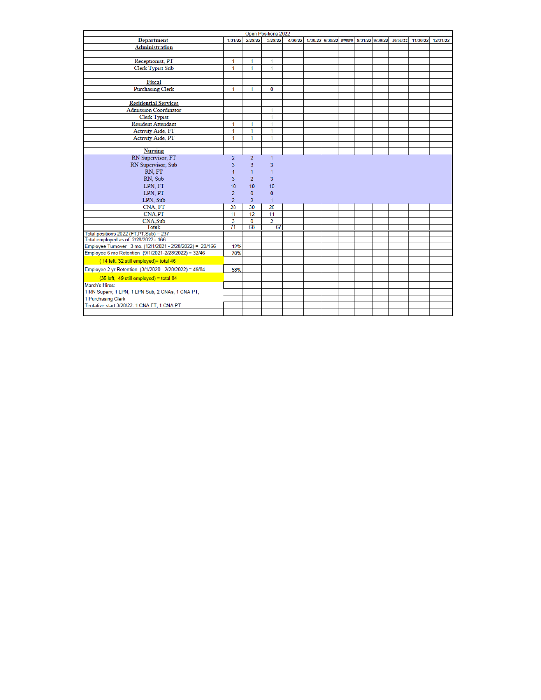|                                                          |                 | <b>Open Positions 2022</b> |                |         |  |                       |  |                 |  |          |          |          |
|----------------------------------------------------------|-----------------|----------------------------|----------------|---------|--|-----------------------|--|-----------------|--|----------|----------|----------|
| <b>Department</b>                                        | 1/31/22         | 2/28/22                    | 3/28/22        | 4/30/22 |  | 5/30/22 6/30/22 ##### |  | 8/31/22 9/30/22 |  | 10/31/22 | 11/30/22 | 12/31/22 |
| <b>Administration</b>                                    |                 |                            |                |         |  |                       |  |                 |  |          |          |          |
|                                                          |                 |                            |                |         |  |                       |  |                 |  |          |          |          |
| Receptionist, PT                                         | 1               | 1                          | 1              |         |  |                       |  |                 |  |          |          |          |
| <b>Clerk Typist Sub</b>                                  | 1               | 1                          | 1              |         |  |                       |  |                 |  |          |          |          |
|                                                          |                 |                            |                |         |  |                       |  |                 |  |          |          |          |
| Fiscal                                                   |                 |                            |                |         |  |                       |  |                 |  |          |          |          |
| <b>Purchasing Clerk</b>                                  | 1               | 1                          | $\bf{0}$       |         |  |                       |  |                 |  |          |          |          |
|                                                          |                 |                            |                |         |  |                       |  |                 |  |          |          |          |
| <b>Residential Services</b>                              |                 |                            |                |         |  |                       |  |                 |  |          |          |          |
| <b>Admission Coordinator</b>                             |                 |                            | 1              |         |  |                       |  |                 |  |          |          |          |
| <b>Clerk Typist</b>                                      |                 |                            | 1              |         |  |                       |  |                 |  |          |          |          |
| <b>Resident Attendant</b>                                | 1               | $\mathbf{1}$               | 1              |         |  |                       |  |                 |  |          |          |          |
| <b>Activity Aide, FT</b>                                 | 1               | $\mathbf{1}$               | 1              |         |  |                       |  |                 |  |          |          |          |
| Activity Aide, PT                                        | 1               | 1                          | 1              |         |  |                       |  |                 |  |          |          |          |
|                                                          |                 |                            |                |         |  |                       |  |                 |  |          |          |          |
| <b>Nursing</b>                                           |                 |                            |                |         |  |                       |  |                 |  |          |          |          |
| RN Supervisor, FT                                        | $\overline{2}$  | $\overline{2}$             | $\mathbf{1}$   |         |  |                       |  |                 |  |          |          |          |
| RN Supervisor, Sub                                       | 3               | 3                          | 3              |         |  |                       |  |                 |  |          |          |          |
| RN. FT                                                   | $\mathbf{1}$    | $\mathbf{1}$               | 1              |         |  |                       |  |                 |  |          |          |          |
| RN, Sub                                                  | 3               | $\overline{2}$             | 3              |         |  |                       |  |                 |  |          |          |          |
| LPN, FT                                                  | 10              | 10                         | 10             |         |  |                       |  |                 |  |          |          |          |
| LPN, PT                                                  | $\overline{2}$  | $\mathbf{0}$               | $\bf{0}$       |         |  |                       |  |                 |  |          |          |          |
| LPN, Sub                                                 | $\overline{2}$  | $\overline{2}$             | $\mathbf{1}$   |         |  |                       |  |                 |  |          |          |          |
| CNA, FT                                                  | 28              | 30                         | 28             |         |  |                       |  |                 |  |          |          |          |
| <b>CNA,PT</b>                                            | 11              | 12                         | 11             |         |  |                       |  |                 |  |          |          |          |
| <b>CNA</b> , Sub                                         | 3               | $\bf{0}$                   | $\overline{2}$ |         |  |                       |  |                 |  |          |          |          |
| Total:                                                   | $\overline{71}$ | 68                         | 67             |         |  |                       |  |                 |  |          |          |          |
| Total positions 2022 (FT,PT,Sub) = 237                   |                 |                            |                |         |  |                       |  |                 |  |          |          |          |
| Total employed as of 2/28/2022= 166                      |                 |                            |                |         |  |                       |  |                 |  |          |          |          |
| Employee Turnover 3 mo. (12/1/2021 - 2/28/2022) = 20/166 | 12%             |                            |                |         |  |                       |  |                 |  |          |          |          |
| Employee 6 mo Retention (9/1/2021-2/28/2022) = 32/46     | 70%             |                            |                |         |  |                       |  |                 |  |          |          |          |
| (14 left, 32 still employed)= total 46                   |                 |                            |                |         |  |                       |  |                 |  |          |          |          |
| Employee 2 yr Retention (3/1/2020 - 2/28/2022) = 49/84   | 58%             |                            |                |         |  |                       |  |                 |  |          |          |          |
| $(35$ left, 49 still employed) = total 84                |                 |                            |                |         |  |                       |  |                 |  |          |          |          |
| March's Hires:                                           |                 |                            |                |         |  |                       |  |                 |  |          |          |          |
| 1 RN Superv, 1 LPN, 1 LPN Sub, 2 CNAs, 1 CNA PT,         |                 |                            |                |         |  |                       |  |                 |  |          |          |          |
| 1 Purchasing Clerk                                       |                 |                            |                |         |  |                       |  |                 |  |          |          |          |
| Tentative start 3/28/22: 1 CNA FT, 1 CNA PT              |                 |                            |                |         |  |                       |  |                 |  |          |          |          |
|                                                          |                 |                            |                |         |  |                       |  |                 |  |          |          |          |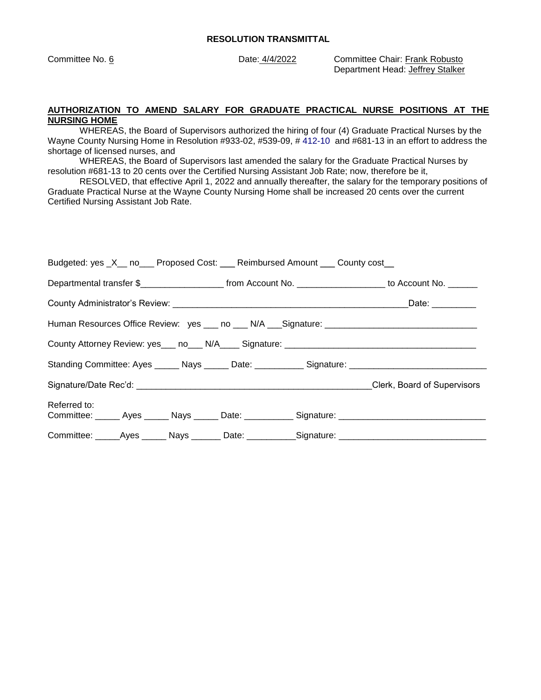Committee No. 6 Date: 4/4/2022 Committee Chair: Frank Robusto Department Head: Jeffrey Stalker

#### **AUTHORIZATION TO AMEND SALARY FOR GRADUATE PRACTICAL NURSE POSITIONS AT THE NURSING HOME**

WHEREAS, the Board of Supervisors authorized the hiring of four (4) Graduate Practical Nurses by the Wayne County Nursing Home in Resolution #933-02, #539-09, # 412-10 and #681-13 in an effort to address the shortage of licensed nurses, and

WHEREAS, the Board of Supervisors last amended the salary for the Graduate Practical Nurses by resolution #681-13 to 20 cents over the Certified Nursing Assistant Job Rate; now, therefore be it,

RESOLVED, that effective April 1, 2022 and annually thereafter, the salary for the temporary positions of Graduate Practical Nurse at the Wayne County Nursing Home shall be increased 20 cents over the current Certified Nursing Assistant Job Rate.

| Budgeted: yes _X__ no___ Proposed Cost: ___ Reimbursed Amount ___ County cost__                                     |  |  |                 |  |  |  |  |
|---------------------------------------------------------------------------------------------------------------------|--|--|-----------------|--|--|--|--|
| Departmental transfer \$________________________ from Account No. _____________________ to Account No. _______      |  |  |                 |  |  |  |  |
|                                                                                                                     |  |  | Date: _________ |  |  |  |  |
|                                                                                                                     |  |  |                 |  |  |  |  |
|                                                                                                                     |  |  |                 |  |  |  |  |
| Standing Committee: Ayes ______ Nays ______ Date: ___________ Signature: ___________________________                |  |  |                 |  |  |  |  |
| Signature/Date Rec'd: example and the state of Supervisors of Supervisors Clerk, Board of Supervisors               |  |  |                 |  |  |  |  |
| Referred to:<br>Committee: ______ Ayes ______ Nays ______ Date: ___________ Signature: ____________________________ |  |  |                 |  |  |  |  |
| Committee: _____Ayes ______ Nays _______ Date: __________Signature: _______________________________                 |  |  |                 |  |  |  |  |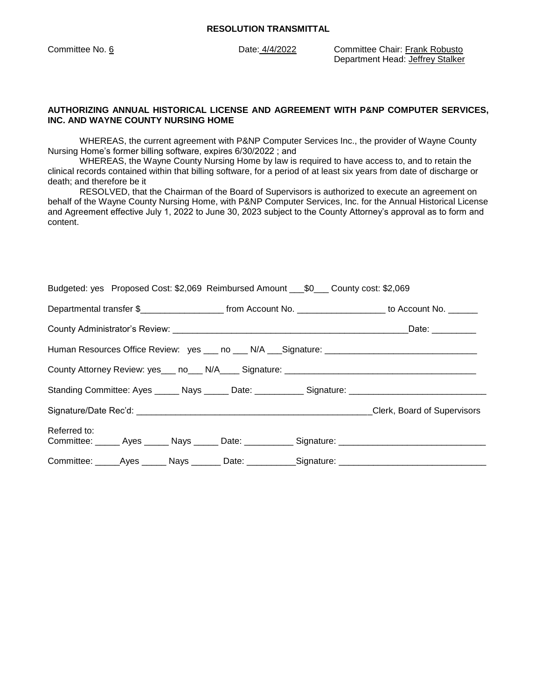Committee No. 6 Date: 4/4/2022 Committee Chair: Frank Robusto Department Head: Jeffrey Stalker

#### **AUTHORIZING ANNUAL HISTORICAL LICENSE AND AGREEMENT WITH P&NP COMPUTER SERVICES, INC. AND WAYNE COUNTY NURSING HOME**

WHEREAS, the current agreement with P&NP Computer Services Inc., the provider of Wayne County Nursing Home's former billing software, expires 6/30/2022 ; and

WHEREAS, the Wayne County Nursing Home by law is required to have access to, and to retain the clinical records contained within that billing software, for a period of at least six years from date of discharge or death; and therefore be it

RESOLVED, that the Chairman of the Board of Supervisors is authorized to execute an agreement on behalf of the Wayne County Nursing Home, with P&NP Computer Services, Inc. for the Annual Historical License and Agreement effective July 1, 2022 to June 30, 2023 subject to the County Attorney's approval as to form and content.

| Budgeted: yes Proposed Cost: \$2,069 Reimbursed Amount ____\$0____ County cost: \$2,069 |  |                                                                                                                 |  |                                                                                                     |                                                                                                      |  |  |  |
|-----------------------------------------------------------------------------------------|--|-----------------------------------------------------------------------------------------------------------------|--|-----------------------------------------------------------------------------------------------------|------------------------------------------------------------------------------------------------------|--|--|--|
|                                                                                         |  | Departmental transfer \$_________________________ from Account No. _____________________ to Account No. _______ |  |                                                                                                     |                                                                                                      |  |  |  |
| Date: _________                                                                         |  |                                                                                                                 |  |                                                                                                     |                                                                                                      |  |  |  |
|                                                                                         |  |                                                                                                                 |  |                                                                                                     |                                                                                                      |  |  |  |
|                                                                                         |  |                                                                                                                 |  |                                                                                                     |                                                                                                      |  |  |  |
|                                                                                         |  |                                                                                                                 |  |                                                                                                     | Standing Committee: Ayes ______ Nays ______ Date: ___________ Signature: ___________________________ |  |  |  |
|                                                                                         |  |                                                                                                                 |  |                                                                                                     |                                                                                                      |  |  |  |
| Referred to:                                                                            |  |                                                                                                                 |  |                                                                                                     | Committee: ______ Ayes ______ Nays ______ Date: ___________ Signature: ____________________________  |  |  |  |
|                                                                                         |  |                                                                                                                 |  | Committee: _____Ayes ______ Nays _______ Date: ___________Signature: ______________________________ |                                                                                                      |  |  |  |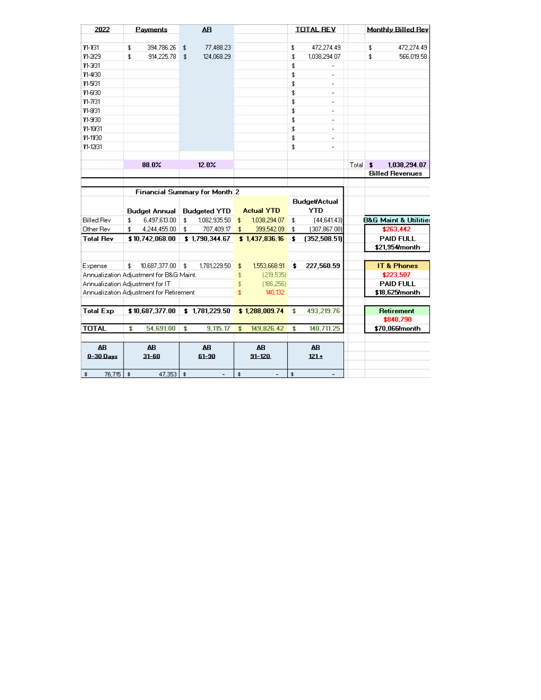| 2022              | Payments                                | A <sub>B</sub>                       |                                | <b>TOTAL REV</b>               | <b>Monthly Billed Rev</b>            |
|-------------------|-----------------------------------------|--------------------------------------|--------------------------------|--------------------------------|--------------------------------------|
|                   |                                         |                                      |                                |                                |                                      |
| 11-131            | 394,786.26<br>\$                        | 77,488.23<br>\$                      |                                | 472,274.49<br>\$               | \$<br>472,274.49                     |
| 11-2/29           | \$<br>914,225.78                        | 124,068.29<br>\$                     |                                | \$<br>1,038,294.07             | \$<br>566,019.58                     |
| 11-3/31           |                                         |                                      |                                | \$                             |                                      |
| 11-4/30           |                                         |                                      |                                | \$                             |                                      |
| 11-5/31           |                                         |                                      |                                | \$                             |                                      |
| 11-6/30           |                                         |                                      |                                | \$<br>÷                        |                                      |
| 11-7/31           |                                         |                                      |                                | \$<br>$\overline{a}$           |                                      |
| 11-8/31           |                                         |                                      |                                | \$<br>$\overline{\phantom{a}}$ |                                      |
| 11-9/30           |                                         |                                      |                                | \$<br>$\overline{\phantom{a}}$ |                                      |
| 11-10/31          |                                         |                                      |                                | \$<br>$\overline{\phantom{a}}$ |                                      |
| 11-1130           |                                         |                                      |                                | \$<br>$\blacksquare$           |                                      |
| 11-12/31          |                                         |                                      |                                | \$<br>$\overline{\phantom{a}}$ |                                      |
|                   |                                         |                                      |                                |                                |                                      |
|                   | 88.0%                                   | 12.0%                                |                                |                                | Total<br>1.038.294.07<br>\$          |
|                   |                                         |                                      |                                |                                | <b>Billed Revenues</b>               |
|                   |                                         |                                      |                                |                                |                                      |
|                   |                                         | <b>Financial Summary for Month 2</b> |                                |                                |                                      |
|                   |                                         |                                      |                                | <b>Budget/Actual</b>           |                                      |
|                   | <b>Budget Annual</b>                    | <b>Budgeted YTD</b>                  | <b>Actual YTD</b>              | <b>YTD</b>                     |                                      |
| <b>Billed Rev</b> | \$<br>6,497,613.00                      | 1,082,935.50<br>\$                   | \$<br>1,038,294.07             | [44,641.43]<br>\$              | <b>B&amp;G Maint &amp; Utilities</b> |
| Other Rev         | \$<br>4,244,455.00                      | 707,409.17<br>\$                     | \$<br>399,542.09               | (307, 867.08)<br>\$            | \$263,442                            |
| <b>Total Rev</b>  | \$10,742,068.00                         | \$1,790,344.67                       | \$1,437,836.16                 | (352,508.51)<br>\$             | <b>PAID FULL</b>                     |
|                   |                                         |                                      |                                |                                | \$21,954/month                       |
|                   |                                         |                                      |                                |                                |                                      |
| Expense           | \$<br>10,687,377.00                     | \$<br>1,781,229.50                   | \$<br>1,553,668.91             | \$<br>227,560.59               | <b>IT &amp; Phones</b>               |
|                   | Annualization Adjustment for B&G Maint. |                                      | \$<br>[219,535]                |                                | \$223,507                            |
|                   | Annualization Adjustment for IT         |                                      | \$<br>[186, 256]               |                                | <b>PAID FULL</b>                     |
|                   | Annualization Adjustment for Retirement |                                      | \$<br>140,132                  |                                | \$18,625 month                       |
|                   |                                         |                                      |                                |                                |                                      |
| <b>Total Exp</b>  | \$10,687,377.00                         | \$1,781,229.50                       | \$1,288,009.74                 | 493,219.76<br>\$               | Retirement                           |
|                   |                                         |                                      |                                |                                | \$840,790                            |
| <b>TOTAL</b>      | 54,691.00<br>\$                         | 9,115.17<br>\$                       | 149,826.42<br>\$               | 140,711.25<br>\$               | \$70,066/month                       |
|                   |                                         |                                      |                                |                                |                                      |
| <b>AB</b>         | <b>AB</b>                               | <b>AB</b>                            | <b>AB</b>                      | <b>AB</b>                      |                                      |
| $0 - 30$ Days     | $31 - 60$                               | $61 - 90$                            | $91 - 120$                     | $121 +$                        |                                      |
|                   |                                         |                                      |                                |                                |                                      |
| 76.715 \$<br>\$   | 47.353                                  | $\bullet$<br>$\overline{a}$          | \$<br>$\overline{\phantom{a}}$ | \$                             |                                      |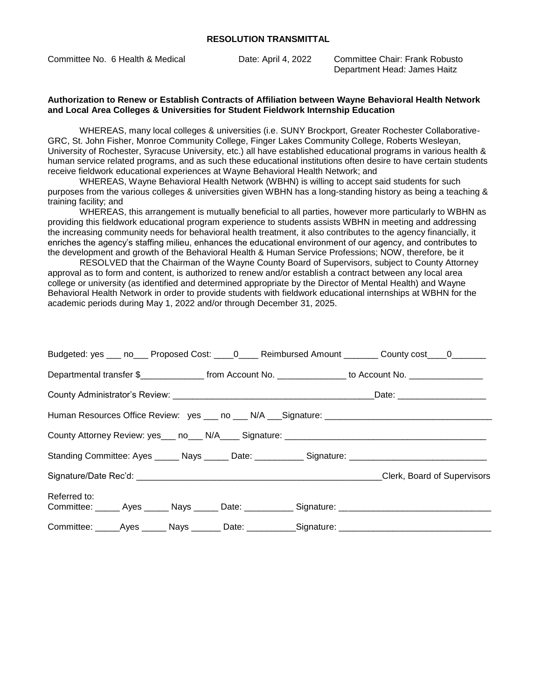Committee No. 6 Health & Medical Date: April 4, 2022 Committee Chair: Frank Robusto

Department Head: James Haitz

#### **Authorization to Renew or Establish Contracts of Affiliation between Wayne Behavioral Health Network and Local Area Colleges & Universities for Student Fieldwork Internship Education**

WHEREAS, many local colleges & universities (i.e. SUNY Brockport, Greater Rochester Collaborative-GRC, St. John Fisher, Monroe Community College, Finger Lakes Community College, Roberts Wesleyan, University of Rochester, Syracuse University, etc.) all have established educational programs in various health & human service related programs, and as such these educational institutions often desire to have certain students receive fieldwork educational experiences at Wayne Behavioral Health Network; and

WHEREAS, Wayne Behavioral Health Network (WBHN) is willing to accept said students for such purposes from the various colleges & universities given WBHN has a long-standing history as being a teaching & training facility; and

WHEREAS, this arrangement is mutually beneficial to all parties, however more particularly to WBHN as providing this fieldwork educational program experience to students assists WBHN in meeting and addressing the increasing community needs for behavioral health treatment, it also contributes to the agency financially, it enriches the agency's staffing milieu, enhances the educational environment of our agency, and contributes to the development and growth of the Behavioral Health & Human Service Professions; NOW, therefore, be it

RESOLVED that the Chairman of the Wayne County Board of Supervisors, subject to County Attorney approval as to form and content, is authorized to renew and/or establish a contract between any local area college or university (as identified and determined appropriate by the Director of Mental Health) and Wayne Behavioral Health Network in order to provide students with fieldwork educational internships at WBHN for the academic periods during May 1, 2022 and/or through December 31, 2025.

| Budgeted: yes ___ no___ Proposed Cost: ____0____ Reimbursed Amount _______ County cost____0_______                  |  |                             |
|---------------------------------------------------------------------------------------------------------------------|--|-----------------------------|
| Departmental transfer \$                                                                                            |  |                             |
|                                                                                                                     |  | Date: _____________________ |
|                                                                                                                     |  |                             |
|                                                                                                                     |  |                             |
| Standing Committee: Ayes ______ Nays ______ Date: ___________ Signature: ___________________________                |  |                             |
|                                                                                                                     |  | Clerk, Board of Supervisors |
| Referred to:<br>Committee: ______ Ayes ______ Nays ______ Date: ___________ Signature: ____________________________ |  |                             |
| Committee: Ayes Nays Date: Signature: Nayles Nayles Nayles Nayles Nayles Nayles Nayles Nayles Nayles Nayles Na      |  |                             |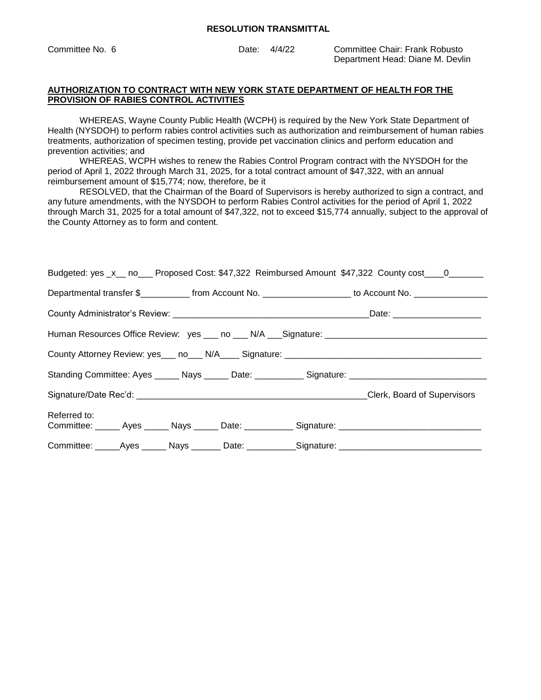Committee No. 6 Date: 4/4/22 Committee Chair: Frank Robusto Department Head: Diane M. Devlin

#### **AUTHORIZATION TO CONTRACT WITH NEW YORK STATE DEPARTMENT OF HEALTH FOR THE PROVISION OF RABIES CONTROL ACTIVITIES**

WHEREAS, Wayne County Public Health (WCPH) is required by the New York State Department of Health (NYSDOH) to perform rabies control activities such as authorization and reimbursement of human rabies treatments, authorization of specimen testing, provide pet vaccination clinics and perform education and prevention activities; and

WHEREAS, WCPH wishes to renew the Rabies Control Program contract with the NYSDOH for the period of April 1, 2022 through March 31, 2025, for a total contract amount of \$47,322, with an annual reimbursement amount of \$15,774; now, therefore, be it

RESOLVED, that the Chairman of the Board of Supervisors is hereby authorized to sign a contract, and any future amendments, with the NYSDOH to perform Rabies Control activities for the period of April 1, 2022 through March 31, 2025 for a total amount of \$47,322, not to exceed \$15,774 annually, subject to the approval of the County Attorney as to form and content.

| Budgeted: yes _x__ no___ Proposed Cost: \$47,322 Reimbursed Amount \$47,322 County cost____0_______                 |  |  |  |  |  |  |
|---------------------------------------------------------------------------------------------------------------------|--|--|--|--|--|--|
| Departmental transfer \$_____________ from Account No. ____________________ to Account No. ________________         |  |  |  |  |  |  |
|                                                                                                                     |  |  |  |  |  |  |
| Human Resources Office Review: yes ___ no ___ N/A ___ Signature: ________________                                   |  |  |  |  |  |  |
| County Attorney Review: yes___ no___ N/A____ Signature: _________________________                                   |  |  |  |  |  |  |
| Standing Committee: Ayes ______ Nays ______ Date: ___________ Signature: __________________________                 |  |  |  |  |  |  |
|                                                                                                                     |  |  |  |  |  |  |
| Referred to:<br>Committee: ______ Ayes ______ Nays ______ Date: ___________ Signature: ____________________________ |  |  |  |  |  |  |
| Committee: ______Ayes _______ Nays ________ Date: ___________Signature: ____________________________                |  |  |  |  |  |  |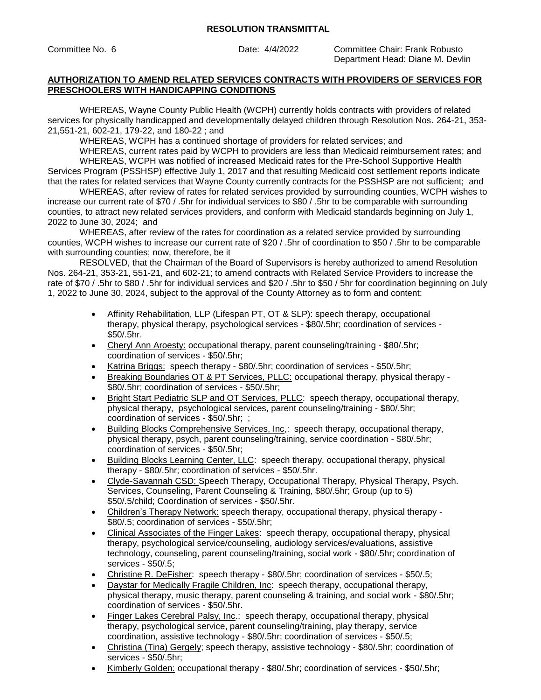Committee No. 6 Date: 4/4/2022 Committee Chair: Frank Robusto Department Head: Diane M. Devlin

# **AUTHORIZATION TO AMEND RELATED SERVICES CONTRACTS WITH PROVIDERS OF SERVICES FOR PRESCHOOLERS WITH HANDICAPPING CONDITIONS**

WHEREAS, Wayne County Public Health (WCPH) currently holds contracts with providers of related services for physically handicapped and developmentally delayed children through Resolution Nos. 264-21, 353- 21,551-21, 602-21, 179-22, and 180-22 ; and

WHEREAS, WCPH has a continued shortage of providers for related services; and

WHEREAS, current rates paid by WCPH to providers are less than Medicaid reimbursement rates; and WHEREAS, WCPH was notified of increased Medicaid rates for the Pre-School Supportive Health

Services Program (PSSHSP) effective July 1, 2017 and that resulting Medicaid cost settlement reports indicate that the rates for related services that Wayne County currently contracts for the PSSHSP are not sufficient; and

WHEREAS, after review of rates for related services provided by surrounding counties, WCPH wishes to increase our current rate of \$70 / .5hr for individual services to \$80 / .5hr to be comparable with surrounding counties, to attract new related services providers, and conform with Medicaid standards beginning on July 1, 2022 to June 30, 2024; and

WHEREAS, after review of the rates for coordination as a related service provided by surrounding counties, WCPH wishes to increase our current rate of \$20 / .5hr of coordination to \$50 / .5hr to be comparable with surrounding counties; now, therefore, be it

RESOLVED, that the Chairman of the Board of Supervisors is hereby authorized to amend Resolution Nos. 264-21, 353-21, 551-21, and 602-21; to amend contracts with Related Service Providers to increase the rate of \$70 / .5hr to \$80 / .5hr for individual services and \$20 / .5hr to \$50 / 5hr for coordination beginning on July 1, 2022 to June 30, 2024, subject to the approval of the County Attorney as to form and content:

- Affinity Rehabilitation, LLP (Lifespan PT, OT & SLP): speech therapy, occupational therapy, physical therapy, psychological services - \$80/.5hr; coordination of services - \$50/.5hr.
- Cheryl Ann Aroesty: occupational therapy, parent counseling/training \$80/.5hr; coordination of services - \$50/.5hr;
- Katrina Briggs: speech therapy \$80/.5hr; coordination of services \$50/.5hr;
- Breaking Boundaries OT & PT Services, PLLC: occupational therapy, physical therapy \$80/.5hr; coordination of services - \$50/.5hr;
- Bright Start Pediatric SLP and OT Services, PLLC: speech therapy, occupational therapy, physical therapy, psychological services, parent counseling/training - \$80/.5hr; coordination of services - \$50/.5hr; ;
- Building Blocks Comprehensive Services, Inc,: speech therapy, occupational therapy, physical therapy, psych, parent counseling/training, service coordination - \$80/.5hr; coordination of services - \$50/.5hr;
- Building Blocks Learning Center, LLC: speech therapy, occupational therapy, physical therapy - \$80/.5hr; coordination of services - \$50/.5hr.
- Clyde-Savannah CSD: Speech Therapy, Occupational Therapy, Physical Therapy, Psych. Services, Counseling, Parent Counseling & Training, \$80/.5hr; Group (up to 5) \$50/.5/child; Coordination of services - \$50/.5hr.
- Children's Therapy Network: speech therapy, occupational therapy, physical therapy \$80/.5; coordination of services - \$50/.5hr;
- Clinical Associates of the Finger Lakes: speech therapy, occupational therapy, physical therapy, psychological service/counseling, audiology services/evaluations, assistive technology, counseling, parent counseling/training, social work - \$80/.5hr; coordination of services - \$50/.5;
- Christine R. DeFisher: speech therapy \$80/.5hr; coordination of services \$50/.5;
- Daystar for Medically Fragile Children, Inc: speech therapy, occupational therapy, physical therapy, music therapy, parent counseling & training, and social work - \$80/.5hr; coordination of services - \$50/.5hr.
- Finger Lakes Cerebral Palsy, Inc.: speech therapy, occupational therapy, physical therapy, psychological service, parent counseling/training, play therapy, service coordination, assistive technology - \$80/.5hr; coordination of services - \$50/.5;
- Christina (Tina) Gergely; speech therapy, assistive technology \$80/.5hr; coordination of services - \$50/.5hr;
- Kimberly Golden: occupational therapy \$80/.5hr; coordination of services \$50/.5hr;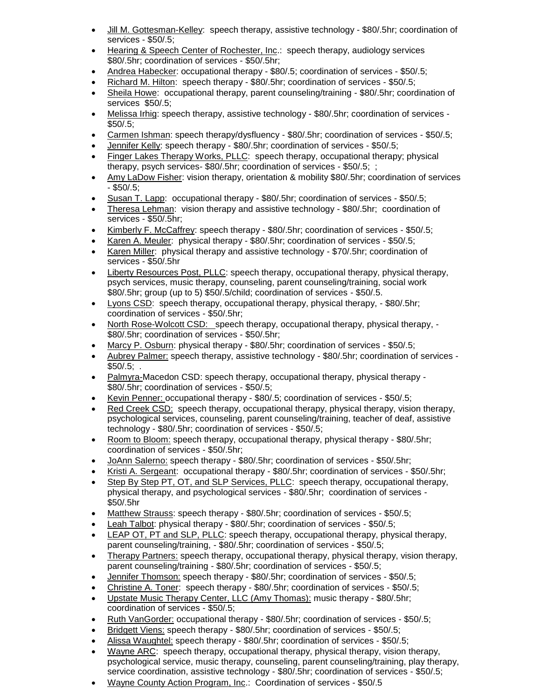- Jill M. Gottesman-Kelley: speech therapy, assistive technology \$80/.5hr; coordination of services - \$50/.5;
- Hearing & Speech Center of Rochester, Inc.: speech therapy, audiology services \$80/.5hr; coordination of services - \$50/.5hr;
- Andrea Habecker: occupational therapy \$80/.5; coordination of services \$50/.5;
- Richard M. Hilton: speech therapy \$80/.5hr; coordination of services \$50/.5;
- Sheila Howe: occupational therapy, parent counseling/training \$80/.5hr; coordination of services \$50/.5;
- Melissa Irhig: speech therapy, assistive technology \$80/.5hr; coordination of services \$50/.5;
- Carmen Ishman: speech therapy/dysfluency \$80/.5hr; coordination of services \$50/.5;
- Jennifer Kelly: speech therapy \$80/.5hr; coordination of services \$50/.5;
- Finger Lakes Therapy Works, PLLC: speech therapy, occupational therapy; physical therapy, psych services- \$80/.5hr; coordination of services - \$50/.5; ;
- Amy LaDow Fisher: vision therapy, orientation & mobility \$80/.5hr; coordination of services - \$50/.5;
- Susan T. Lapp: occupational therapy \$80/.5hr; coordination of services \$50/.5;
- Theresa Lehman: vision therapy and assistive technology \$80/.5hr; coordination of services - \$50/.5hr;
- Kimberly F. McCaffrey: speech therapy \$80/.5hr; coordination of services \$50/.5;
- Karen A. Meuler: physical therapy \$80/.5hr; coordination of services \$50/.5;
- Karen Miller: physical therapy and assistive technology \$70/.5hr; coordination of services - \$50/.5hr
- Liberty Resources Post, PLLC: speech therapy, occupational therapy, physical therapy, psych services, music therapy, counseling, parent counseling/training, social work \$80/.5hr; group (up to 5) \$50/.5/child; coordination of services - \$50/.5.
- Lyons CSD: speech therapy, occupational therapy, physical therapy, \$80/.5hr; coordination of services - \$50/.5hr;
- North Rose-Wolcott CSD: speech therapy, occupational therapy, physical therapy, \$80/.5hr; coordination of services - \$50/.5hr;
- Marcy P. Osburn: physical therapy \$80/.5hr; coordination of services \$50/.5;
- Aubrey Palmer: speech therapy, assistive technology \$80/.5hr; coordination of services  $$50/.5$ ; .
- Palmyra-Macedon CSD: speech therapy, occupational therapy, physical therapy \$80/.5hr; coordination of services - \$50/.5;
- Kevin Penner: occupational therapy \$80/.5; coordination of services \$50/.5;
- Red Creek CSD: speech therapy, occupational therapy, physical therapy, vision therapy, psychological services, counseling, parent counseling/training, teacher of deaf, assistive technology - \$80/.5hr; coordination of services - \$50/.5;
- Room to Bloom: speech therapy, occupational therapy, physical therapy \$80/.5hr; coordination of services - \$50/.5hr;
- JoAnn Salerno: speech therapy \$80/.5hr; coordination of services \$50/.5hr;
- Kristi A. Sergeant: occupational therapy \$80/.5hr; coordination of services \$50/.5hr;
- Step By Step PT, OT, and SLP Services, PLLC: speech therapy, occupational therapy, physical therapy, and psychological services - \$80/.5hr; coordination of services - \$50/.5hr
- Matthew Strauss: speech therapy \$80/.5hr; coordination of services \$50/.5;
- Leah Talbot: physical therapy \$80/.5hr; coordination of services \$50/.5;
- LEAP OT, PT and SLP, PLLC: speech therapy, occupational therapy, physical therapy, parent counseling/training, - \$80/.5hr; coordination of services - \$50/.5;
- Therapy Partners: speech therapy, occupational therapy, physical therapy, vision therapy, parent counseling/training - \$80/.5hr; coordination of services - \$50/.5;
- Jennifer Thomson: speech therapy \$80/.5hr; coordination of services \$50/.5;
- Christine A. Toner: speech therapy \$80/.5hr; coordination of services \$50/.5;
- Upstate Music Therapy Center, LLC (Amy Thomas): music therapy \$80/.5hr; coordination of services - \$50/.5;
- Ruth VanGorder: occupational therapy \$80/.5hr; coordination of services \$50/.5;
- Bridgett Viens: speech therapy \$80/.5hr; coordination of services \$50/.5;
- Alissa Waughtel: speech therapy \$80/.5hr; coordination of services \$50/.5;
- Wayne ARC: speech therapy, occupational therapy, physical therapy, vision therapy, psychological service, music therapy, counseling, parent counseling/training, play therapy, service coordination, assistive technology - \$80/.5hr; coordination of services - \$50/.5;
- Wayne County Action Program, Inc.: Coordination of services \$50/.5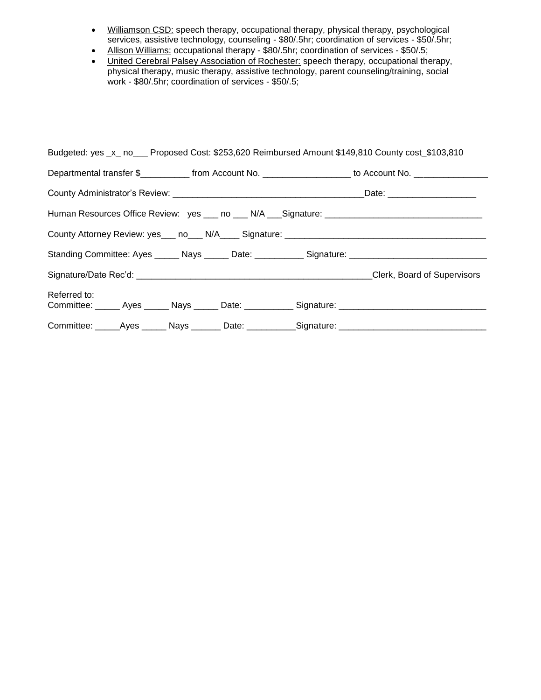- **Williamson CSD:** speech therapy, occupational therapy, physical therapy, psychological services, assistive technology, counseling - \$80/.5hr; coordination of services - \$50/.5hr;
- Allison Williams: occupational therapy \$80/.5hr; coordination of services \$50/.5;
- United Cerebral Palsey Association of Rochester: speech therapy, occupational therapy, physical therapy, music therapy, assistive technology, parent counseling/training, social work - \$80/.5hr; coordination of services - \$50/.5;

| Budgeted: yes _x_ no___ Proposed Cost: \$253,620 Reimbursed Amount \$149,810 County cost_\$103,810                  |  |  |  |                                                                                                            |  |  |  |  |
|---------------------------------------------------------------------------------------------------------------------|--|--|--|------------------------------------------------------------------------------------------------------------|--|--|--|--|
|                                                                                                                     |  |  |  | Departmental transfer \$____________from Account No. ____________________ to Account No. _________________ |  |  |  |  |
|                                                                                                                     |  |  |  |                                                                                                            |  |  |  |  |
| Human Resources Office Review: yes ___ no ___ N/A ___ Signature: ___________________________________                |  |  |  |                                                                                                            |  |  |  |  |
|                                                                                                                     |  |  |  |                                                                                                            |  |  |  |  |
|                                                                                                                     |  |  |  | Standing Committee: Ayes ______ Nays ______ Date: ___________ Signature: ___________________________       |  |  |  |  |
|                                                                                                                     |  |  |  |                                                                                                            |  |  |  |  |
| Referred to:<br>Committee: ______ Ayes ______ Nays ______ Date: ___________ Signature: ____________________________ |  |  |  |                                                                                                            |  |  |  |  |
| Committee: _____Ayes ______ Nays _______ Date: ___________Signature: ______________________________                 |  |  |  |                                                                                                            |  |  |  |  |